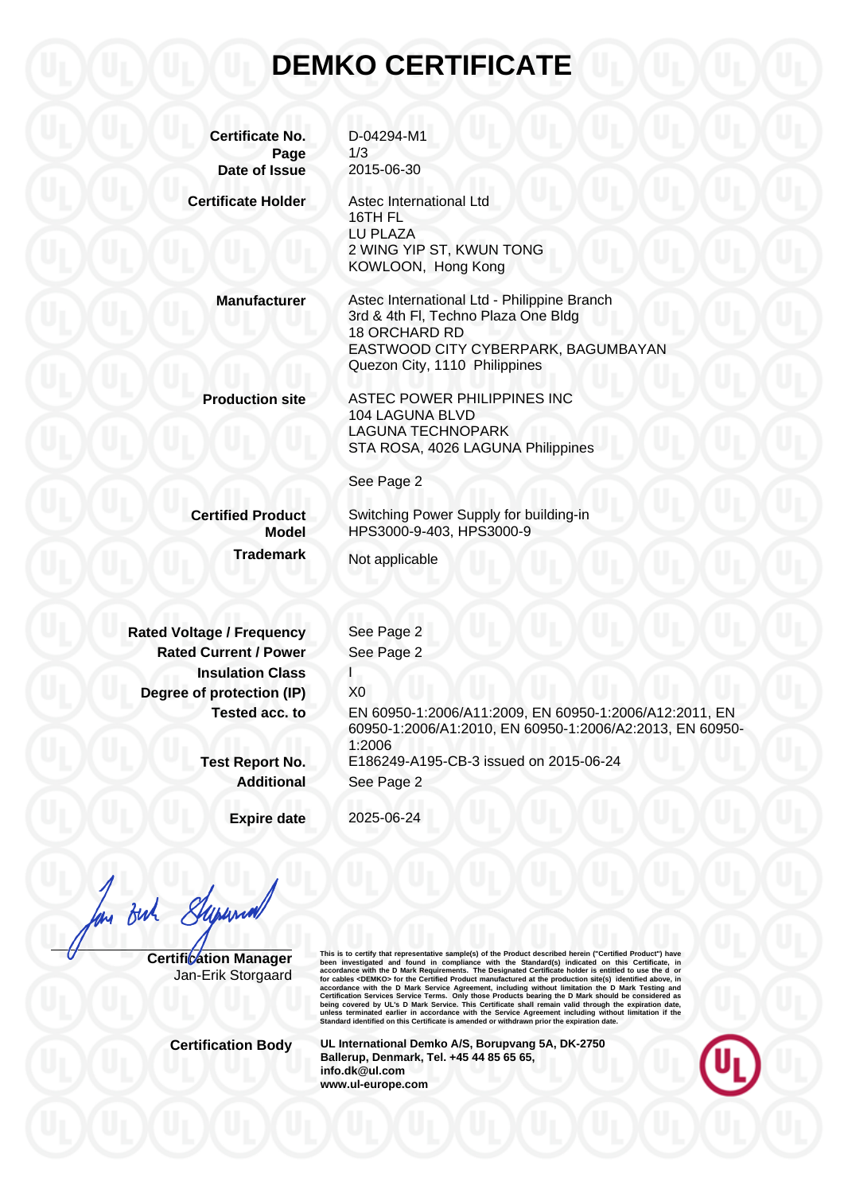## **DEMKO CERTIFICATE**

**Certificate No.** D-04294-M1 **Page** 1/3 **Date of Issue** 2015-06-30 **Certificate Holder** Astec International Ltd 16TH FL LU PLAZA 2 WING YIP ST, KWUN TONG KOWLOON, Hong Kong **Manufacturer** Astec International Ltd - Philippine Branch 3rd & 4th Fl, Techno Plaza One Bldg 18 ORCHARD RD EASTWOOD CITY CYBERPARK, BAGUMBAYAN Quezon City, 1110 Philippines **Production site** ASTEC POWER PHILIPPINES INC 104 LAGUNA BLVD LAGUNA TECHNOPARK STA ROSA, 4026 LAGUNA Philippines See Page 2 **Certified Product** Switching Power Supply for building-in **Model** HPS3000-9-403, HPS3000-9 **Trademark** Not applicable **Rated Voltage / Frequency See Page 2 Rated Current / Power** See Page 2 **Insulation Class Degree of protection (IP)** X0 **Tested acc. to** EN 60950-1:2006/A11:2009, EN 60950-1:2006/A12:2011, EN 60950-1:2006/A1:2010, EN 60950-1:2006/A2:2013, EN 60950- 1:2006 **Test Report No.** E186249-A195-CB-3 issued on 2015-06-24 **Additional** See Page 2 **Expire date** 2025-06-24

But Superna

**Certification Manager** Jan-Erik Storgaard This is to certify that representative sample(s) of the Product described herein ("Certifical Product") have<br>been investigated and found in compliance with the Standard(s) indicated on this Certificate, in<br>accordance with

**Certification Body UL International Demko A/S, Borupvang 5A, DK-2750 Ballerup, Denmark, Tel. +45 44 85 65 65, info.dk@ul.com www.ul-europe.com**

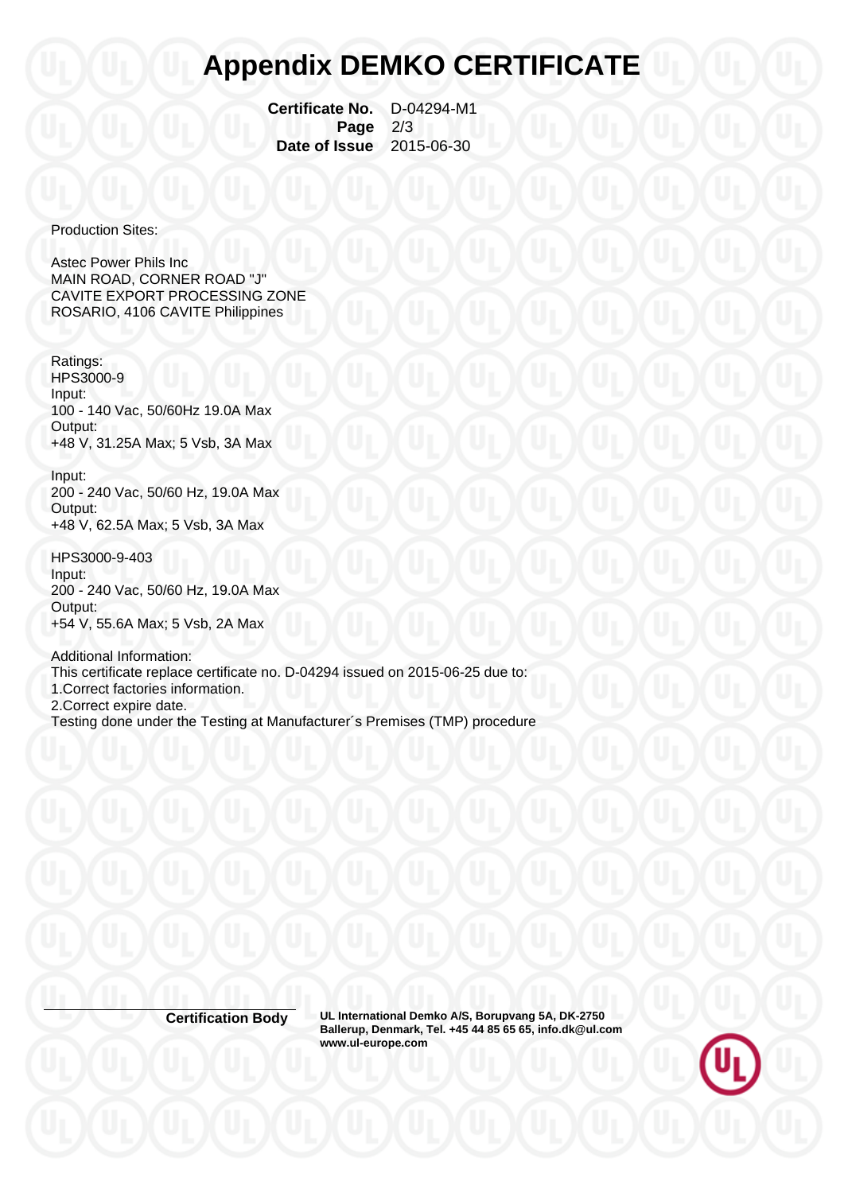## **Appendix DEMKO CERTIFICATE**

 **Certificate No.** D-04294-M1  **Page** 2/3  **Date of Issue** 2015-06-30

Production Sites:

Astec Power Phils Inc MAIN ROAD, CORNER ROAD "J" CAVITE EXPORT PROCESSING ZONE ROSARIO, 4106 CAVITE Philippines

Ratings: HPS3000-9 Input: 100 - 140 Vac, 50/60Hz 19.0A Max Output: +48 V, 31.25A Max; 5 Vsb, 3A Max

Input: 200 - 240 Vac, 50/60 Hz, 19.0A Max Output: +48 V, 62.5A Max; 5 Vsb, 3A Max

HPS3000-9-403 Input: 200 - 240 Vac, 50/60 Hz, 19.0A Max Output: +54 V, 55.6A Max; 5 Vsb, 2A Max

Additional Information: This certificate replace certificate no. D-04294 issued on 2015-06-25 due to: 1.Correct factories information. 2.Correct expire date. Testing done under the Testing at Manufacturer´s Premises (TMP) procedure

**Certification Body UL International Demko A/S, Borupvang 5A, DK-2750 Ballerup, Denmark, Tel. +45 44 85 65 65, info.dk@ul.com www.ul-europe.com**